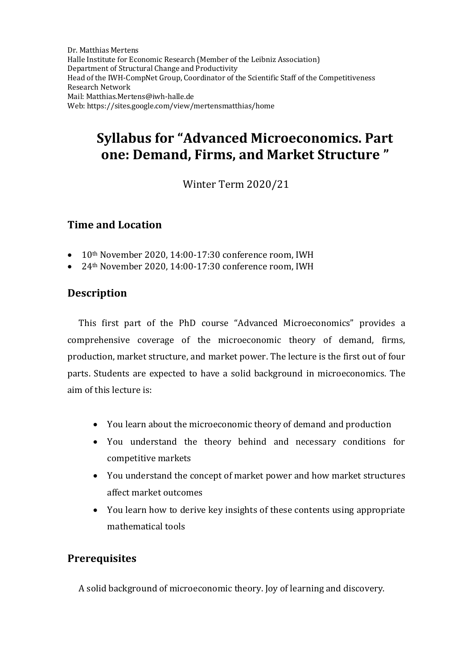Dr. Matthias Mertens Halle Institute for Economic Research (Member of the Leibniz Association) Department of Structural Change and Productivity Head of the IWH-CompNet Group, Coordinator of the Scientific Staff of the Competitiveness Research Network Mail[: Matthias.Mertens@iwh-halle.de](mailto:Matthias.Mertens@iwh-halle.de) Web: <https://sites.google.com/view/mertensmatthias/home>

# **Syllabus for "Advanced Microeconomics. Part one: Demand, Firms, and Market Structure "**

Winter Term 2020/21

#### **Time and Location**

- 10<sup>th</sup> November 2020, 14:00-17:30 conference room, IWH
- 24th November 2020, 14:00-17:30 conference room, IWH

## **Description**

This first part of the PhD course "Advanced Microeconomics" provides a comprehensive coverage of the microeconomic theory of demand, firms, production, market structure, and market power. The lecture is the first out of four parts. Students are expected to have a solid background in microeconomics. The aim of this lecture is:

- You learn about the microeconomic theory of demand and production
- You understand the theory behind and necessary conditions for competitive markets
- You understand the concept of market power and how market structures affect market outcomes
- You learn how to derive key insights of these contents using appropriate mathematical tools

### **Prerequisites**

A solid background of microeconomic theory. Joy of learning and discovery.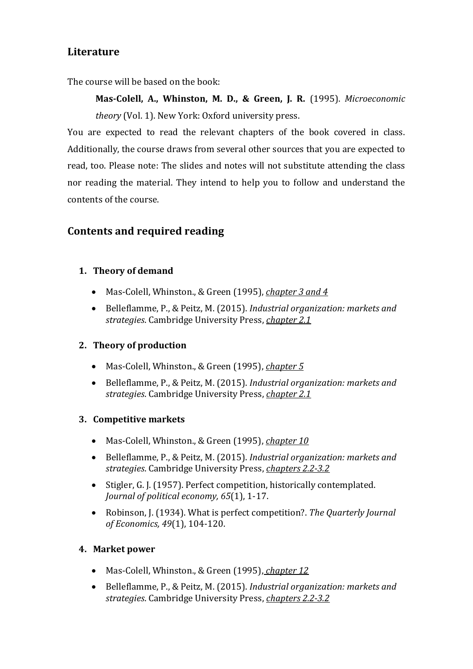## **Literature**

The course will be based on the book:

**Mas-Colell, A., Whinston, M. D., & Green, J. R.** (1995). *Microeconomic theory* (Vol. 1). New York: Oxford university press.

You are expected to read the relevant chapters of the book covered in class. Additionally, the course draws from several other sources that you are expected to read, too. Please note: The slides and notes will not substitute attending the class nor reading the material. They intend to help you to follow and understand the contents of the course.

## **Contents and required reading**

#### **1. Theory of demand**

- Mas-Colell, Whinston., & Green (1995), *chapter 3 and 4*
- Belleflamme, P., & Peitz, M. (2015). *Industrial organization: markets and strategies*. Cambridge University Press, *chapter 2.1*

### **2. Theory of production**

- Mas-Colell, Whinston., & Green (1995), *chapter 5*
- Belleflamme, P., & Peitz, M. (2015). *Industrial organization: markets and strategies*. Cambridge University Press, *chapter 2.1*

#### **3. Competitive markets**

- Mas-Colell, Whinston., & Green (1995), *chapter 10*
- Belleflamme, P., & Peitz, M. (2015). *Industrial organization: markets and strategies*. Cambridge University Press, *chapters 2.2-3.2*
- Stigler, G. J. (1957). Perfect competition, historically contemplated. *Journal of political economy, 65*(1), 1-17.
- Robinson, J. (1934). What is perfect competition?. *The Quarterly Journal of Economics, 49*(1), 104-120.

#### **4. Market power**

- Mas-Colell, Whinston., & Green (1995), *chapter 12*
- Belleflamme, P., & Peitz, M. (2015). *Industrial organization: markets and strategies*. Cambridge University Press, *chapters 2.2-3.2*